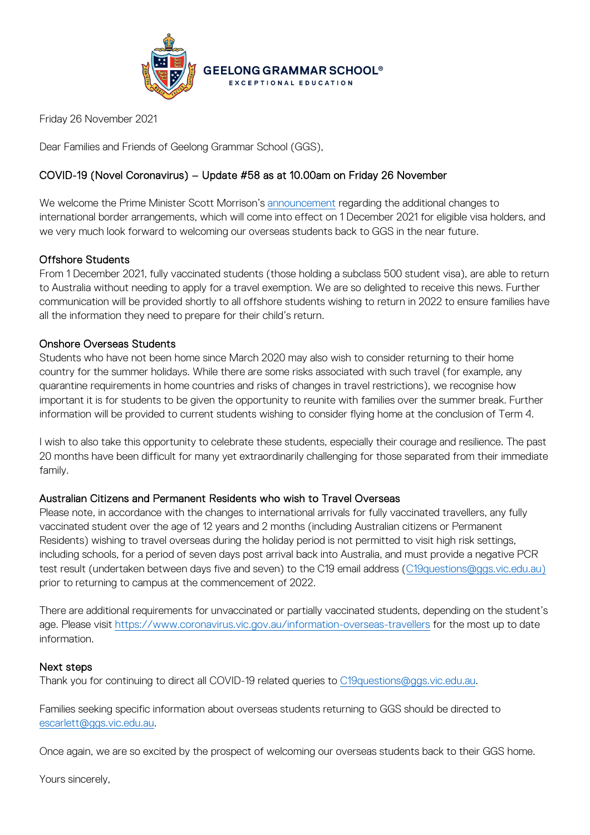

Friday 26 November 2021

Dear Families and Friends of Geelong Grammar School (GGS),

# COVID-19 (Novel Coronavirus) – Update #58 as at 10.00am on Friday 26 November

We welcome the Prime Minister Scott Morrison's [announcement](https://www.pm.gov.au/media/further-steps-reopen-australia-and-secure-our-economic-recovery) regarding the additional changes to international border arrangements, which will come into effect on 1 December 2021 for eligible visa holders, and we very much look forward to welcoming our overseas students back to GGS in the near future.

### Offshore Students

From 1 December 2021, fully vaccinated students (those holding a subclass 500 student visa), are able to return to Australia without needing to apply for a travel exemption. We are so delighted to receive this news. Further communication will be provided shortly to all offshore students wishing to return in 2022 to ensure families have all the information they need to prepare for their child's return.

#### Onshore Overseas Students

Students who have not been home since March 2020 may also wish to consider returning to their home country for the summer holidays. While there are some risks associated with such travel (for example, any quarantine requirements in home countries and risks of changes in travel restrictions), we recognise how important it is for students to be given the opportunity to reunite with families over the summer break. Further information will be provided to current students wishing to consider flying home at the conclusion of Term 4.

I wish to also take this opportunity to celebrate these students, especially their courage and resilience. The past 20 months have been difficult for many yet extraordinarily challenging for those separated from their immediate family.

## Australian Citizens and Permanent Residents who wish to Travel Overseas

Please note, in accordance with the changes to international arrivals for fully vaccinated travellers, any fully vaccinated student over the age of 12 years and 2 months (including Australian citizens or Permanent Residents) wishing to travel overseas during the holiday period is not permitted to visit high risk settings, including schools, for a period of seven days post arrival back into Australia, and must provide a negative PCR test result (undertaken between days five and seven) to the C19 email address [\(C19questions@ggs.vic.edu.au\)](mailto:C19questions@ggs.vic.edu.au) prior to returning to campus at the commencement of 2022.

There are additional requirements for unvaccinated or partially vaccinated students, depending on the student's age. Please visit<https://www.coronavirus.vic.gov.au/information-overseas-travellers> for the most up to date information.

#### Next steps

Thank you for continuing to direct all COVID-19 related queries to [C19questions@ggs.vic.edu.au.](mailto:C19questions@ggs.vic.edu.au)

Families seeking specific information about overseas students returning to GGS should be directed to [escarlett@ggs.vic.edu.au.](mailto:escarlett@ggs.vic.edu.au)

Once again, we are so excited by the prospect of welcoming our overseas students back to their GGS home.

Yours sincerely,